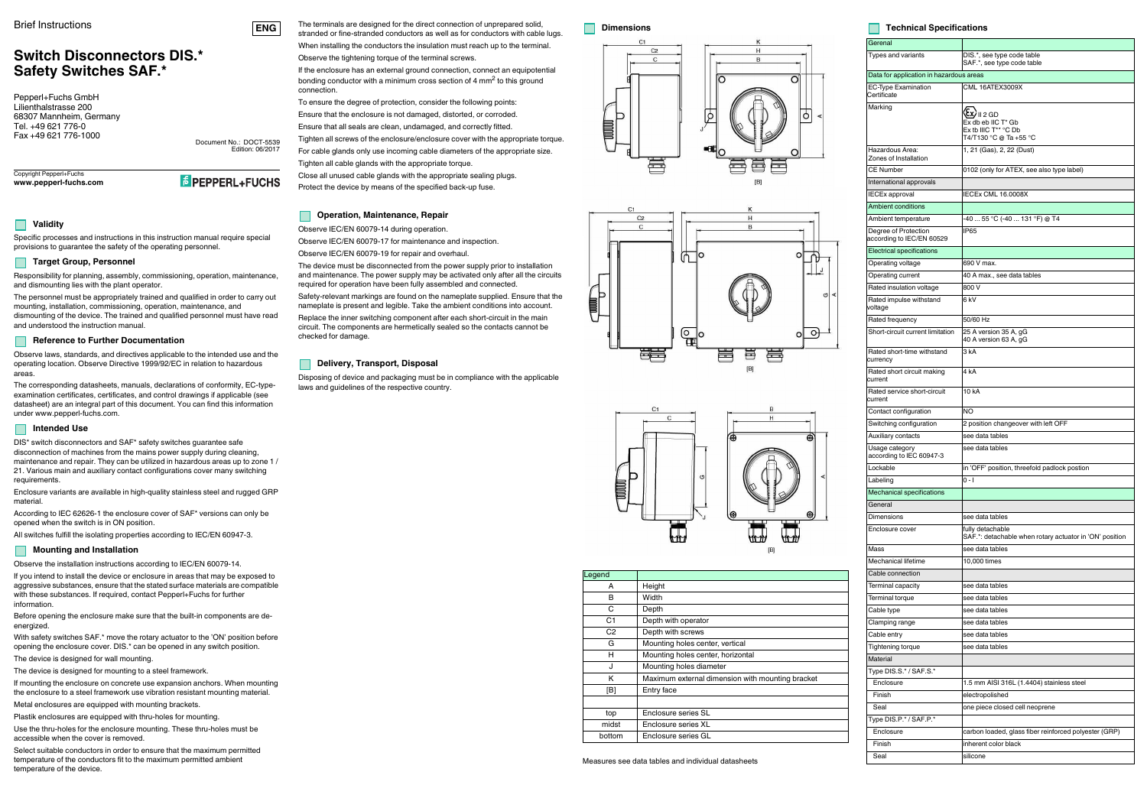#### Brief Instructions

# **Switch Disconnectors DIS.\*Safety Switches SAF.\***

Copyright Pepperl+Fuchs**www.pepperl-fuchs.com**

**E** PEPPERL+FUCHS

Document No.: DOCT-5539 Edition: 06/2017

Pepperl+Fuchs GmbH Lilienthalstrasse 200 68307 Mannheim, GermanyTel. +49 621 776-0Fax +49 621 776-1000



## **Validity**

Specific processes and instructions in this instruction manual require special provisions to guarantee the safety of the operating personnel.

#### **Target Group, Personnel**

Responsibility for planning, assembly, commissioning, operation, maintenance, and dismounting lies with the plant operator.

The personnel must be appropriately trained and qualified in order to carry out mounting, installation, commissioning, operation, maintenance, and dismounting of the device. The trained and qualified personnel must have read and understood the instruction manual.

### **Reference to Further Documentation**

Observe laws, standards, and directives applicable to the intended use and the operating location. Observe Directive 1999/92/EC in relation to hazardous areas.

The corresponding datasheets, manuals, declarations of conformity, EC-typeexamination certificates, certificates, and control drawings if applicable (see datasheet) are an integral part of this document. You can find this information under www.pepperl-fuchs.com.

#### **Intended Use**

DIS\* switch disconnectors and SAF\* safety switches guarantee safe disconnection of machines from the mains power supply during cleaning, maintenance and repair. They can be utilized in hazardous areas up to zone 1 / 21. Various main and auxiliary contact configurations cover many switching requirements.

Enclosure variants are available in high-quality stainless steel and rugged GRP material.

According to IEC 62626-1 the enclosure cover of SAF\* versions can only be opened when the switch is in ON position.

All switches fulfill the isolating properties according to IEC/EN 60947-3.

#### **Mounting and Installation**

Observe the installation instructions according to IEC/EN 60079-14.

If you intend to install the device or enclosure in areas that may be exposed to aggressive substances, ensure that the stated surface materials are compatible with these substances. If required, contact Pepperl+Fuchs for further information.

Before opening the enclosure make sure that the built-in components are deenergized.

With safety switches SAF.\* move the rotary actuator to the 'ON' position before opening the enclosure cover. DIS.\* can be opened in any switch position.

The device is designed for wall mounting.

The device is designed for mounting to a steel framework.

If mounting the enclosure on concrete use expansion anchors. When mounting the enclosure to a steel framework use vibration resistant mounting material.

Metal enclosures are equipped with mounting brackets.

Plastik enclosures are equipped with thru-holes for mounting.

Use the thru-holes for the enclosure mounting. These thru-holes must be accessible when the cover is removed.

Select suitable conductors in order to ensure that the maximum permitted temperature of the conductors fit to the maximum permitted ambient temperature of the device.

The terminals are designed for the direct connection of unprepared solid, stranded or fine-stranded conductors as well as for conductors with cable lugs.

When installing the conductors the insulation must reach up to the terminal.Observe the tightening torque of the terminal screws.

If the enclosure has an external ground connection, connect an equipotential bonding conductor with a minimum cross section of 4 mm<sup>2</sup> to this ground connection.

To ensure the degree of protection, consider the following points:

Ensure that the enclosure is not damaged, distorted, or corroded.

Ensure that all seals are clean, undamaged, and correctly fitted.Tighten all screws of the enclosure/enclosure cover with the appropriate torque.

For cable glands only use incoming cable diameters of the appropriate size.

Tighten all cable glands with the appropriate torque.

Close all unused cable glands with the appropriate sealing plugs.Protect the device by means of the specified back-up fuse.

### **Operation, Maintenance, Repair**

Observe IEC/EN 60079-14 during operation.

Observe IEC/EN 60079-17 for maintenance and inspection.

Observe IEC/EN 60079-19 for repair and overhaul.

The device must be disconnected from the power supply prior to installation and maintenance. The power supply may be activated only after all the circuits required for operation have been fully assembled and connected.

Safety-relevant markings are found on the nameplate supplied. Ensure that the nameplate is present and legible. Take the ambient conditions into account.

Replace the inner switching component after each short-circuit in the main circuit. The components are hermetically sealed so the contacts cannot be checked for damage.

### **Delivery, Transport, Disposal**

Disposing of device and packaging must be in compliance with the applicable laws and guidelines of the respective country.

### **Dimensions**







#### **Technical Specifications**

|                | C1<br>Κ                                                                     | Gerenal                                           |                                                                                                |  |  |  |  |
|----------------|-----------------------------------------------------------------------------|---------------------------------------------------|------------------------------------------------------------------------------------------------|--|--|--|--|
|                | H<br>C <sub>2</sub><br>C<br>B                                               | Types and variants                                | DIS.*, see type code table<br>SAF.*, see type code table                                       |  |  |  |  |
|                |                                                                             | Data for application in hazardous areas           |                                                                                                |  |  |  |  |
|                | $\circ$<br>O                                                                | <b>EC-Type Examination</b>                        | CML 16ATEX3009X                                                                                |  |  |  |  |
|                |                                                                             | Certificate                                       |                                                                                                |  |  |  |  |
|                | 9                                                                           | Marking                                           | $\langle \overline{\mathfrak{c}}\mathfrak{x} \rangle_{\mathsf{II}\, 2\, \mathsf{G}\mathsf{D}}$ |  |  |  |  |
|                |                                                                             |                                                   | Ex db eb IIC T* Gb<br>Ex tb IIIC T <sup>**</sup> °C Db                                         |  |  |  |  |
|                |                                                                             |                                                   | T4/T130 °C @ Ta +55 °C                                                                         |  |  |  |  |
|                |                                                                             | Hazardous Area:<br>Zones of Installation          | 1, 21 (Gas), 2, 22 (Dust)                                                                      |  |  |  |  |
|                |                                                                             | <b>CE Number</b>                                  | 0102 (only for ATEX, see also type label)                                                      |  |  |  |  |
|                | $[{\mathsf B}]$                                                             | International approvals                           |                                                                                                |  |  |  |  |
|                |                                                                             | <b>IECEx approval</b>                             | <b>IECEx CML 16.0008X</b>                                                                      |  |  |  |  |
| C <sub>1</sub> | κ                                                                           | <b>Ambient conditions</b>                         |                                                                                                |  |  |  |  |
|                | н<br>C <sub>2</sub><br>$\sf B$<br>$\mathbf C$                               | Ambient temperature                               | -40  55 °C (-40  131 °F) @ T4                                                                  |  |  |  |  |
|                |                                                                             | Degree of Protection<br>according to IEC/EN 60529 | IP65                                                                                           |  |  |  |  |
|                | о<br>O                                                                      | <b>Electrical specifications</b>                  |                                                                                                |  |  |  |  |
|                | ľN                                                                          | Operating voltage                                 | 690 V max.                                                                                     |  |  |  |  |
|                |                                                                             | Operating current                                 | 40 A max., see data tables                                                                     |  |  |  |  |
|                |                                                                             | Rated insulation voltage                          | 800 V                                                                                          |  |  |  |  |
| P              | <b>G</b><br>⋖                                                               | Rated impulse withstand<br>voltage                | 6 kV                                                                                           |  |  |  |  |
|                |                                                                             | Rated frequency                                   | 50/60 Hz                                                                                       |  |  |  |  |
|                | $\frac{1}{\sqrt{2}}$<br>$\Theta$<br>$\circ$<br>O                            | Short-circuit current limitation                  | 25 A version 35 A, gG<br>40 A version 63 A, gG                                                 |  |  |  |  |
|                |                                                                             | Rated short-time withstand<br>currency            | 3 kA                                                                                           |  |  |  |  |
|                | $[{\mathsf B}]$                                                             | Rated short circuit making<br>current             | 4 <sub>k</sub> A                                                                               |  |  |  |  |
|                |                                                                             | Rated service short-circuit<br>current            | 10 kA                                                                                          |  |  |  |  |
|                | C1<br>в<br>$\mathsf C$<br>н                                                 | Contact configuration                             | <b>NO</b>                                                                                      |  |  |  |  |
|                |                                                                             | Switching configuration                           | 2 position changeover with left OFF                                                            |  |  |  |  |
|                | ۵<br>€                                                                      | Auxiliary contacts                                | see data tables                                                                                |  |  |  |  |
|                |                                                                             | Usage category<br>according to IEC 60947-3        | see data tables                                                                                |  |  |  |  |
|                |                                                                             | Lockable                                          | in 'OFF' position, threefold padlock postion                                                   |  |  |  |  |
|                | G                                                                           | Labeling                                          | $0 - 1$                                                                                        |  |  |  |  |
|                |                                                                             | <b>Mechanical specifications</b>                  |                                                                                                |  |  |  |  |
|                |                                                                             | General                                           |                                                                                                |  |  |  |  |
|                | Θ                                                                           | <b>Dimensions</b>                                 | see data tables                                                                                |  |  |  |  |
|                |                                                                             | Enclosure cover                                   | fully detachable<br>SAF.*: detachable when rotary actuator in 'ON' position<br>see data tables |  |  |  |  |
|                | [B]                                                                         | Mass                                              |                                                                                                |  |  |  |  |
|                |                                                                             | Mechanical lifetime                               | 10,000 times                                                                                   |  |  |  |  |
| Legend         |                                                                             | Cable connection                                  |                                                                                                |  |  |  |  |
| Α              | Height                                                                      | Terminal capacity                                 | see data tables                                                                                |  |  |  |  |
| В              | Width                                                                       | Terminal torque                                   | see data tables                                                                                |  |  |  |  |
| C              | Depth                                                                       | Cable type                                        | see data tables                                                                                |  |  |  |  |
| C <sub>1</sub> | Depth with operator                                                         | Clamping range                                    | see data tables                                                                                |  |  |  |  |
| C <sub>2</sub> | Depth with screws                                                           | Cable entry                                       | see data tables                                                                                |  |  |  |  |
| G              | Mounting holes center, vertical                                             | Tightening torque                                 | see data tables                                                                                |  |  |  |  |
| н              | Mounting holes center, horizontal                                           | Material                                          |                                                                                                |  |  |  |  |
| J<br>Κ         | Mounting holes diameter<br>Maximum external dimension with mounting bracket | Type DIS.S.* / SAF.S.*                            |                                                                                                |  |  |  |  |
| [B]            | Entry face                                                                  | Enclosure                                         | 1.5 mm AISI 316L (1.4404) stainless steel                                                      |  |  |  |  |
|                |                                                                             | Finish                                            | electropolished                                                                                |  |  |  |  |
| top            | Enclosure series SL                                                         | Seal                                              | one piece closed cell neoprene                                                                 |  |  |  |  |
| midst          | Enclosure series XL                                                         | Type DIS.P.*/SAF.P.*                              |                                                                                                |  |  |  |  |
| bottom         | Enclosure series GL                                                         | Enclosure                                         | carbon loaded, glass fiber reinforced polyester (GRP)                                          |  |  |  |  |
|                |                                                                             | Finish                                            | inherent color black                                                                           |  |  |  |  |
|                | Measures see data tables and individual datasheets                          | Seal                                              | silicone                                                                                       |  |  |  |  |